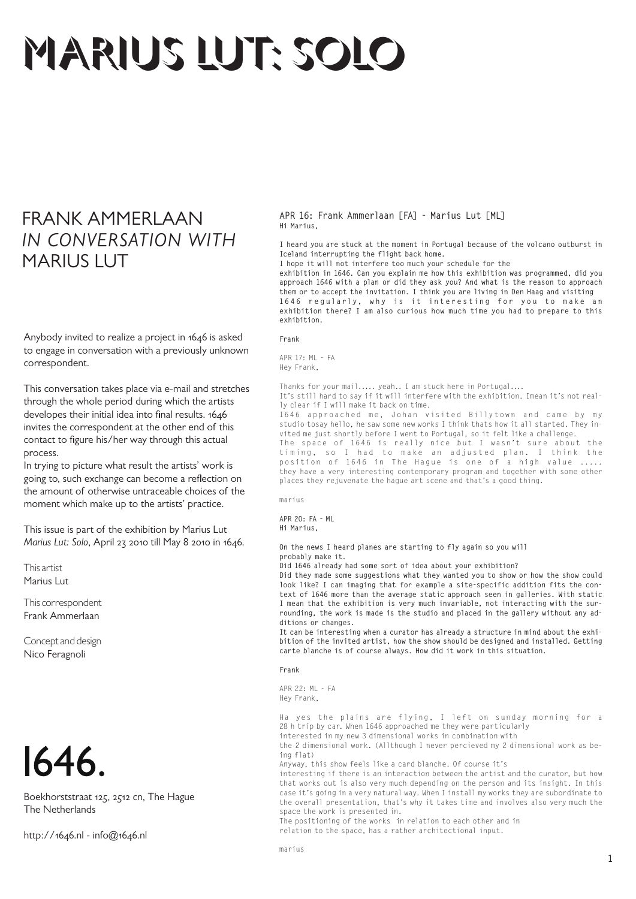## MARIUS LUT: SOLO

## FRANK AMMERLAAN *IN CONVERSATION WITH* **MARIUS LUT**

Anybody invited to realize a project in 1646 is asked to engage in conversation with a previously unknown correspondent.

This conversation takes place via e-mail and stretches through the whole period during which the artists developes their initial idea into final results. 1646 invites the correspondent at the other end of this contact to figure his/her way through this actual process.

In trying to picture what result the artists' work is going to, such exchange can become a reflection on the amount of otherwise untraceable choices of the moment which make up to the artists' practice.

This issue is part of the exhibition by Marius Lut *Marius Lut: Solo*, April 23 2010 till May 8 2010 in 1646.

This artist Marius Lut

This correspondent Frank Ammerlaan

Concept and design Nico Feragnoli



Boekhorststraat 125, 2512 cn, The Hague The Netherlands

http://1646.nl - info@1646.nl

**APR 16: Frank Ammerlaan [FA] - Marius Lut [ML] Hi Marius,**

**I heard you are stuck at the moment in Portugal because of the volcano outburst in Iceland interrupting the flight back home.**

**I hope it will not interfere too much your schedule for the** 

**exhibition in 1646. Can you explain me how this exhibition was programmed, did you approach 1646 with a plan or did they ask you? And what is the reason to approach them or to accept the invitation. I think you are living in Den Haag and visiting**  1646 regularly, why is it interesting for you to make an **exhibition there? I am also curious how much time you had to prepare to this exhibition.**

## **Frank**

APR 17: ML - FA Hey Frank,

Thanks for your mail..... yeah.. I am stuck here in Portugal....

It's still hard to say if it will interfere with the exhibition. Imean it's not really clear if I will make it back on time.

1646 approached me, Johan visited Billytown and came by my studio tosay hello, he saw some new works I think thats how it all started. They invited me just shortly before I went to Portugal, so it felt like a challenge.

The space of 1646 is really nice but I wasn't sure about the timing, so I had to make an adjusted plan. I think the position of 1646 in The Hague is one of a high value ..... they have a very interesting contemporary program and together with some other places they rejuvenate the hague art scene and that's a good thing.

marius

**APR 20: FA - ML Hi Marius,**

**On the news I heard planes are starting to fly again so you will probably make it.**

**Did 1646 already had some sort of idea about your exhibition?** 

**Did they made some suggestions what they wanted you to show or how the show could look like? I can imaging that for example a site-specific addition fits the context of 1646 more than the average static approach seen in galleries. With static I mean that the exhibition is very much invariable, not interacting with the surrounding, the work is made is the studio and placed in the gallery without any additions or changes.**

**It can be interesting when a curator has already a structure in mind about the exhibition of the invited artist, how the show should be designed and installed. Getting carte blanche is of course always. How did it work in this situation.**

**Frank**

APR 22: ML - FA Hey Frank,

Ha yes the plains are flying, I left on sunday morning for a 28 h trip by car. When 1646 approached me they were particularly

interested in my new 3 dimensional works in combination with

the 2 dimensional work. (Allthough I never percieved my 2 dimensional work as being flat)

Anyway, this show feels like a card blanche. Of course it's

interesting if there is an interaction between the artist and the curator, but how that works out is also very much depending on the person and its insight. In this case it's going in a very natural way. When I install my works they are subordinate to the overall presentation, that's why it takes time and involves also very much the space the work is presented in.

The positioning of the works in relation to each other and in

relation to the space, has a rather architectional input.